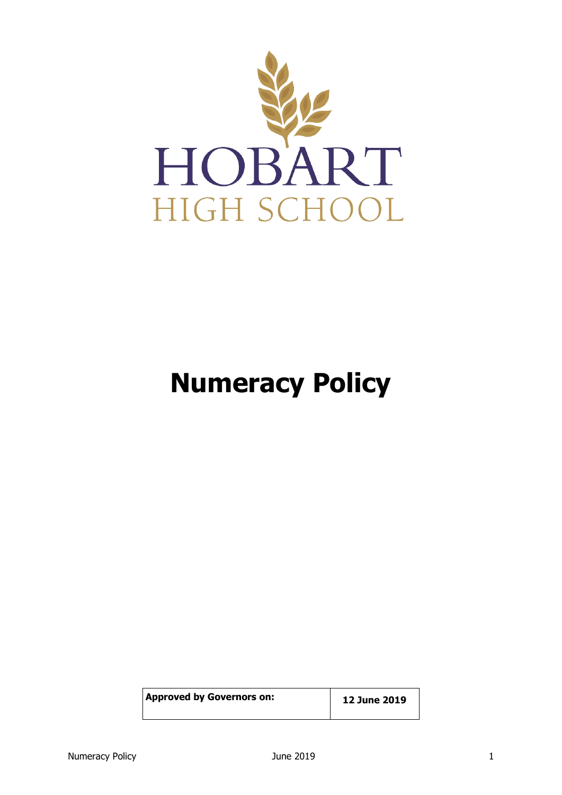

# **Numeracy Policy**

| <b>Approved by Governors on:</b> | 12 June 2019 |
|----------------------------------|--------------|
|                                  |              |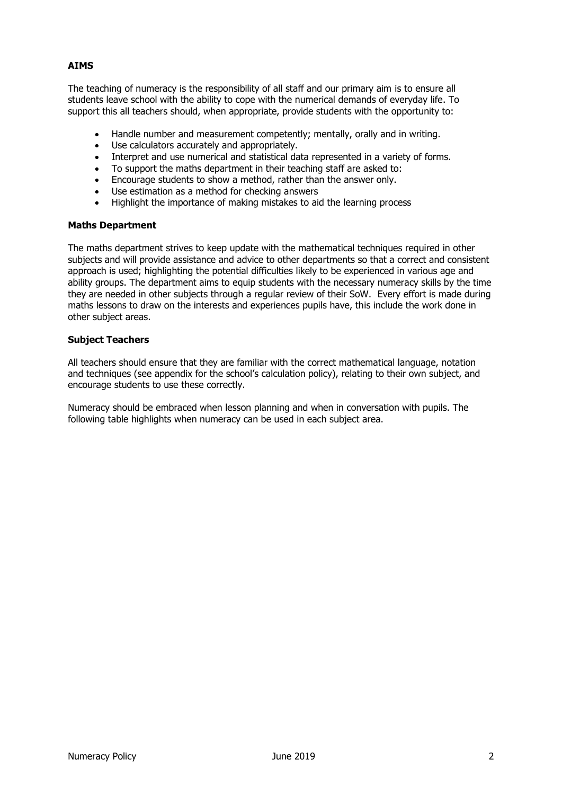### **AIMS**

The teaching of numeracy is the responsibility of all staff and our primary aim is to ensure all students leave school with the ability to cope with the numerical demands of everyday life. To support this all teachers should, when appropriate, provide students with the opportunity to:

- Handle number and measurement competently; mentally, orally and in writing.
- Use calculators accurately and appropriately.
- Interpret and use numerical and statistical data represented in a variety of forms.
- To support the maths department in their teaching staff are asked to:
- Encourage students to show a method, rather than the answer only.
- Use estimation as a method for checking answers
- Highlight the importance of making mistakes to aid the learning process

#### **Maths Department**

The maths department strives to keep update with the mathematical techniques required in other subjects and will provide assistance and advice to other departments so that a correct and consistent approach is used; highlighting the potential difficulties likely to be experienced in various age and ability groups. The department aims to equip students with the necessary numeracy skills by the time they are needed in other subjects through a regular review of their SoW. Every effort is made during maths lessons to draw on the interests and experiences pupils have, this include the work done in other subject areas.

#### **Subject Teachers**

All teachers should ensure that they are familiar with the correct mathematical language, notation and techniques (see appendix for the school's calculation policy), relating to their own subject, and encourage students to use these correctly.

Numeracy should be embraced when lesson planning and when in conversation with pupils. The following table highlights when numeracy can be used in each subject area.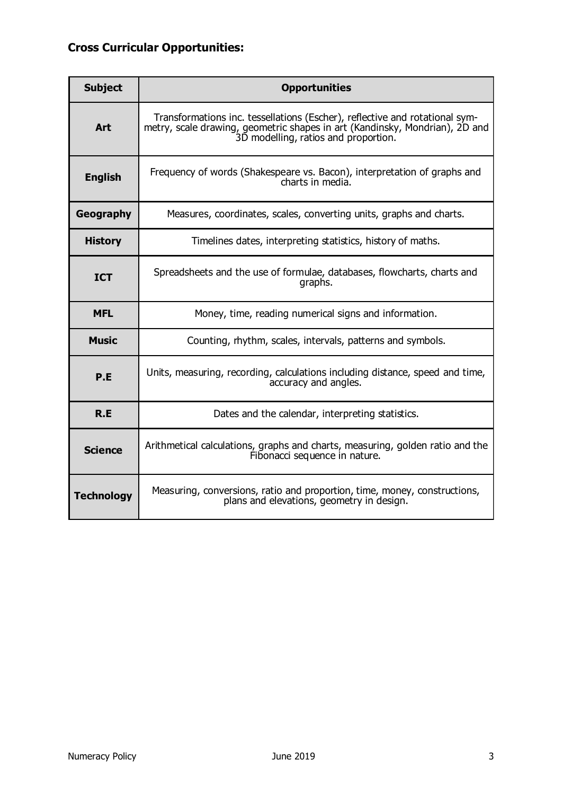# **Cross Curricular Opportunities:**

| <b>Subject</b>    | <b>Opportunities</b>                                                                                                                                                                               |
|-------------------|----------------------------------------------------------------------------------------------------------------------------------------------------------------------------------------------------|
| <b>Art</b>        | Transformations inc. tessellations (Escher), reflective and rotational sym-<br>metry, scale drawing, geometric shapes in art (Kandinsky, Mondrian), 2D and<br>3D modelling, ratios and proportion. |
| <b>English</b>    | Frequency of words (Shakespeare vs. Bacon), interpretation of graphs and<br>charts in media.                                                                                                       |
| Geography         | Measures, coordinates, scales, converting units, graphs and charts.                                                                                                                                |
| <b>History</b>    | Timelines dates, interpreting statistics, history of maths.                                                                                                                                        |
| <b>ICT</b>        | Spreadsheets and the use of formulae, databases, flowcharts, charts and<br>graphs.                                                                                                                 |
| <b>MFL</b>        | Money, time, reading numerical signs and information.                                                                                                                                              |
| <b>Music</b>      | Counting, rhythm, scales, intervals, patterns and symbols.                                                                                                                                         |
| P.E               | Units, measuring, recording, calculations including distance, speed and time,<br>accuracy and angles.                                                                                              |
| R.E               | Dates and the calendar, interpreting statistics.                                                                                                                                                   |
| <b>Science</b>    | Arithmetical calculations, graphs and charts, measuring, golden ratio and the<br>Fibonacci sequence in nature.                                                                                     |
| <b>Technology</b> | Measuring, conversions, ratio and proportion, time, money, constructions,<br>plans and elevations, geometry in design.                                                                             |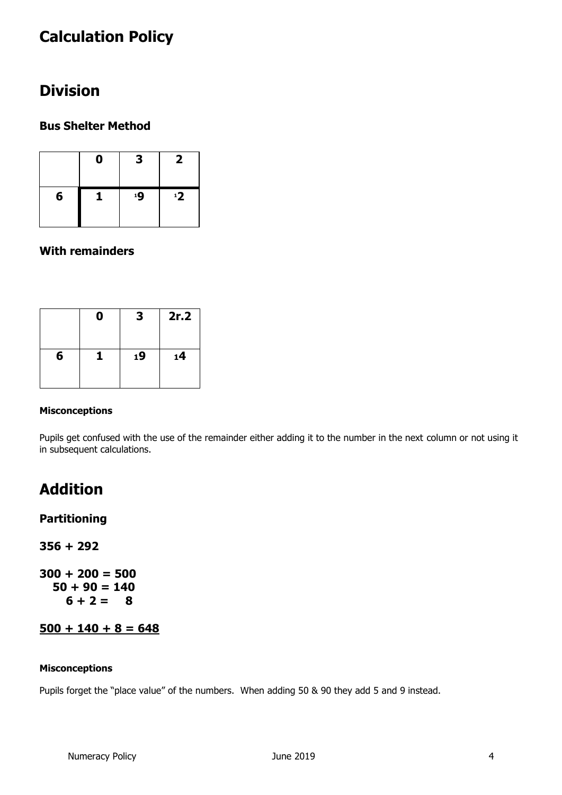# **Calculation Policy**

# **Division**

# **Bus Shelter Method**

|   | 0 | 3  | 2  |
|---|---|----|----|
| 6 |   | 19 | 12 |

### **With remainders**

|   | 0 | 3  | 2r.2 |
|---|---|----|------|
| 6 |   | 19 | 14   |

#### **Misconceptions**

Pupils get confused with the use of the remainder either adding it to the number in the next column or not using it in subsequent calculations.

# **Addition**

### **Partitioning**

**356 + 292**

**300 + 200 = 500 50 + 90 = 140**   $6 + 2 = 8$ 

# **500 + 140 + 8 = 648**

#### **Misconceptions**

Pupils forget the "place value" of the numbers. When adding 50 & 90 they add 5 and 9 instead.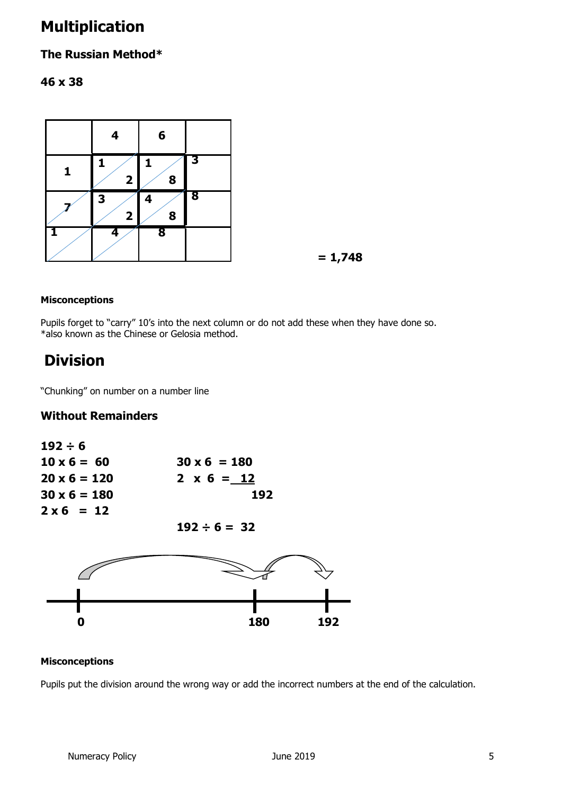# **Multiplication**

# **The Russian Method\***

# **46 x 38**



 **= 1,748**

### **Misconceptions**

Pupils forget to "carry" 10's into the next column or do not add these when they have done so. \*also known as the Chinese or Gelosia method.

# **Division**

"Chunking" on number on a number line

# **Without Remainders**

| $192 \div 6$        |                     |
|---------------------|---------------------|
| $10 \times 6 = 60$  | $30 \times 6 = 180$ |
| $20 \times 6 = 120$ | $2 \times 6 = 12$   |
| $30 \times 6 = 180$ | 192                 |
| $2 \times 6 = 12$   |                     |

 $192 \div 6 = 32$ 



### **Misconceptions**

Pupils put the division around the wrong way or add the incorrect numbers at the end of the calculation.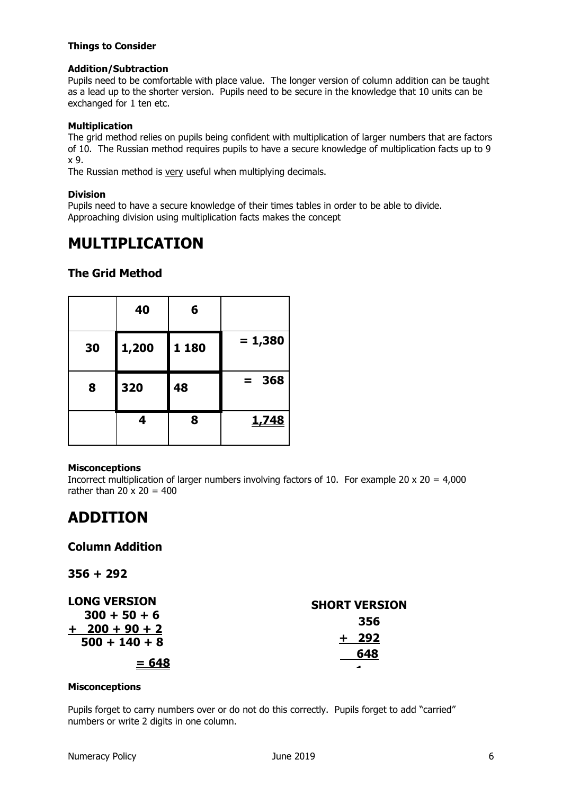#### **Things to Consider**

### **Addition/Subtraction**

Pupils need to be comfortable with place value. The longer version of column addition can be taught as a lead up to the shorter version. Pupils need to be secure in the knowledge that 10 units can be exchanged for 1 ten etc.

### **Multiplication**

The grid method relies on pupils being confident with multiplication of larger numbers that are factors of 10. The Russian method requires pupils to have a secure knowledge of multiplication facts up to 9 x 9.

The Russian method is very useful when multiplying decimals.

### **Division**

Pupils need to have a secure knowledge of their times tables in order to be able to divide. Approaching division using multiplication facts makes the concept

# **MULTIPLICATION**

### **The Grid Method**

|    | 40    | 6     |            |
|----|-------|-------|------------|
| 30 | 1,200 | 1 180 | $= 1,380$  |
| 8  | 320   | 48    | 368<br>$=$ |
|    | 4     | 8     | 1,748      |

#### **Misconceptions**

Incorrect multiplication of larger numbers involving factors of 10. For example 20 x 20 = 4,000 rather than  $20 \times 20 = 400$ 

# **ADDITION**

### **Column Addition**

**356 + 292**

| <b>LONG VERSION</b>                | <b>SHORT VERSION</b> |
|------------------------------------|----------------------|
| $300 + 50 + 6$<br>$+ 200 + 90 + 2$ | 356                  |
| $500 + 140 + 8$                    | - 292                |
| $= 648$                            | 648                  |
|                                    | -                    |

#### **Misconceptions**

Pupils forget to carry numbers over or do not do this correctly. Pupils forget to add "carried" numbers or write 2 digits in one column.